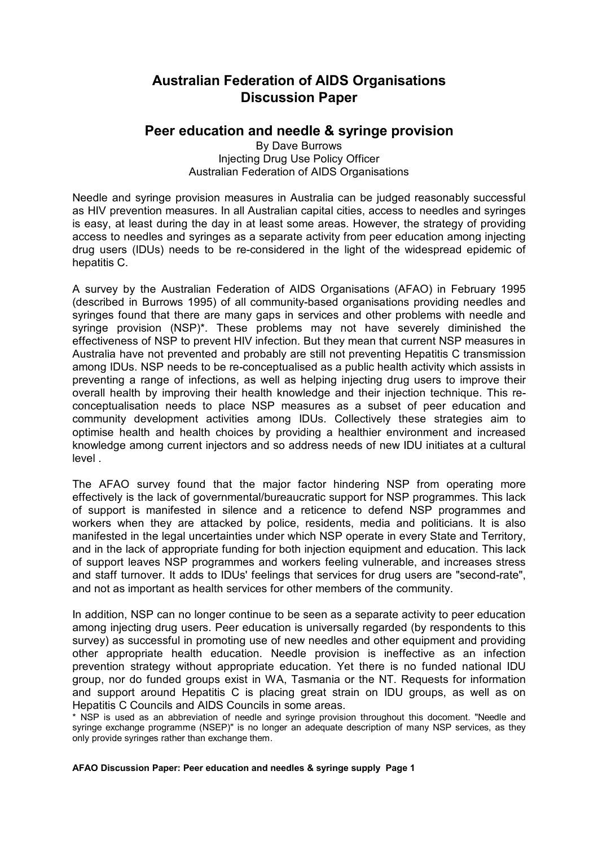# **Australian Federation of AIDS Organisations Discussion Paper**

# **Peer education and needle & syringe provision**

By Dave Burrows Injecting Drug Use Policy Officer Australian Federation of AIDS Organisations

Needle and syringe provision measures in Australia can be judged reasonably successful as HIV prevention measures. In all Australian capital cities, access to needles and syringes is easy, at least during the day in at least some areas. However, the strategy of providing access to needles and syringes as a separate activity from peer education among injecting drug users (IDUs) needs to be re-considered in the light of the widespread epidemic of hepatitis C.

A survey by the Australian Federation of AIDS Organisations (AFAO) in February 1995 (described in Burrows 1995) of all community-based organisations providing needles and syringes found that there are many gaps in services and other problems with needle and syringe provision (NSP)\*. These problems may not have severely diminished the effectiveness of NSP to prevent HIV infection. But they mean that current NSP measures in Australia have not prevented and probably are still not preventing Hepatitis C transmission among IDUs. NSP needs to be re-conceptualised as a public health activity which assists in preventing a range of infections, as well as helping injecting drug users to improve their overall health by improving their health knowledge and their injection technique. This reconceptualisation needs to place NSP measures as a subset of peer education and community development activities among IDUs. Collectively these strategies aim to optimise health and health choices by providing a healthier environment and increased knowledge among current injectors and so address needs of new IDU initiates at a cultural level .

The AFAO survey found that the major factor hindering NSP from operating more effectively is the lack of governmental/bureaucratic support for NSP programmes. This lack of support is manifested in silence and a reticence to defend NSP programmes and workers when they are attacked by police, residents, media and politicians. It is also manifested in the legal uncertainties under which NSP operate in every State and Territory, and in the lack of appropriate funding for both injection equipment and education. This lack of support leaves NSP programmes and workers feeling vulnerable, and increases stress and staff turnover. It adds to IDUs' feelings that services for drug users are "second-rate", and not as important as health services for other members of the community.

In addition, NSP can no longer continue to be seen as a separate activity to peer education among injecting drug users. Peer education is universally regarded (by respondents to this survey) as successful in promoting use of new needles and other equipment and providing other appropriate health education. Needle provision is ineffective as an infection prevention strategy without appropriate education. Yet there is no funded national IDU group, nor do funded groups exist in WA, Tasmania or the NT. Requests for information and support around Hepatitis C is placing great strain on IDU groups, as well as on Hepatitis C Councils and AIDS Councils in some areas.

\* NSP is used as an abbreviation of needle and syringe provision throughout this docoment. "Needle and syringe exchange programme (NSEP)" is no longer an adequate description of many NSP services, as they only provide syringes rather than exchange them.

**AFAO Discussion Paper: Peer education and needles & syringe supply Page 1**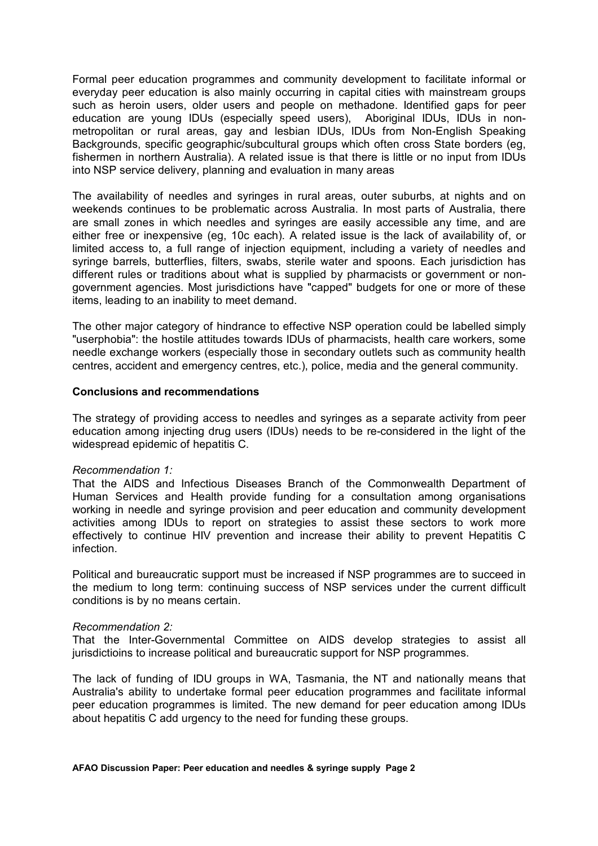Formal peer education programmes and community development to facilitate informal or everyday peer education is also mainly occurring in capital cities with mainstream groups such as heroin users, older users and people on methadone. Identified gaps for peer education are young IDUs (especially speed users), Aboriginal IDUs, IDUs in nonmetropolitan or rural areas, gay and lesbian IDUs, IDUs from Non-English Speaking Backgrounds, specific geographic/subcultural groups which often cross State borders (eg, fishermen in northern Australia). A related issue is that there is little or no input from IDUs into NSP service delivery, planning and evaluation in many areas

The availability of needles and syringes in rural areas, outer suburbs, at nights and on weekends continues to be problematic across Australia. In most parts of Australia, there are small zones in which needles and syringes are easily accessible any time, and are either free or inexpensive (eg, 10c each). A related issue is the lack of availability of, or limited access to, a full range of injection equipment, including a variety of needles and syringe barrels, butterflies, filters, swabs, sterile water and spoons. Each jurisdiction has different rules or traditions about what is supplied by pharmacists or government or nongovernment agencies. Most jurisdictions have "capped" budgets for one or more of these items, leading to an inability to meet demand.

The other major category of hindrance to effective NSP operation could be labelled simply "userphobia": the hostile attitudes towards IDUs of pharmacists, health care workers, some needle exchange workers (especially those in secondary outlets such as community health centres, accident and emergency centres, etc.), police, media and the general community.

# **Conclusions and recommendations**

The strategy of providing access to needles and syringes as a separate activity from peer education among injecting drug users (IDUs) needs to be re-considered in the light of the widespread epidemic of hepatitis C.

# *Recommendation 1:*

That the AIDS and Infectious Diseases Branch of the Commonwealth Department of Human Services and Health provide funding for a consultation among organisations working in needle and syringe provision and peer education and community development activities among IDUs to report on strategies to assist these sectors to work more effectively to continue HIV prevention and increase their ability to prevent Hepatitis C infection.

Political and bureaucratic support must be increased if NSP programmes are to succeed in the medium to long term: continuing success of NSP services under the current difficult conditions is by no means certain.

#### *Recommendation 2:*

That the Inter-Governmental Committee on AIDS develop strategies to assist all jurisdictioins to increase political and bureaucratic support for NSP programmes.

The lack of funding of IDU groups in WA, Tasmania, the NT and nationally means that Australia's ability to undertake formal peer education programmes and facilitate informal peer education programmes is limited. The new demand for peer education among IDUs about hepatitis C add urgency to the need for funding these groups.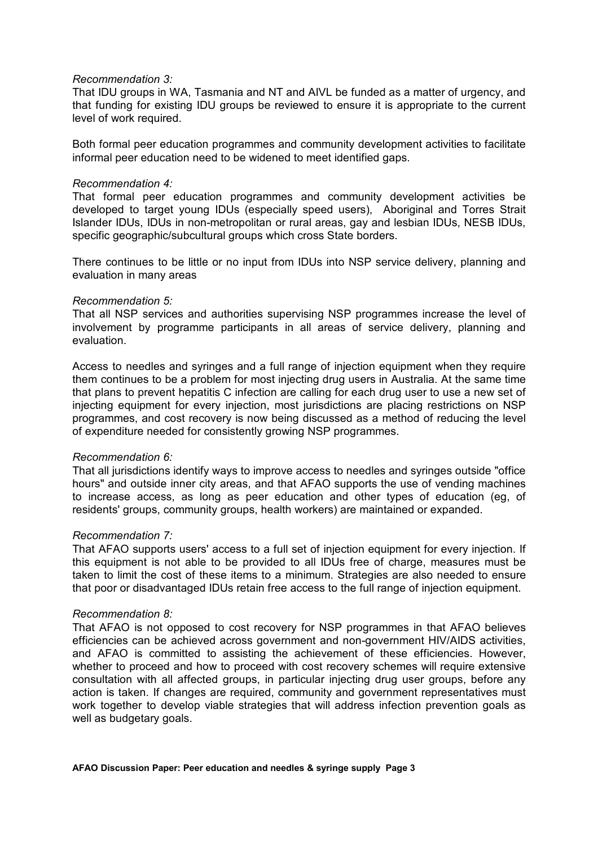# *Recommendation 3:*

That IDU groups in WA, Tasmania and NT and AIVL be funded as a matter of urgency, and that funding for existing IDU groups be reviewed to ensure it is appropriate to the current level of work required.

Both formal peer education programmes and community development activities to facilitate informal peer education need to be widened to meet identified gaps.

#### *Recommendation 4:*

That formal peer education programmes and community development activities be developed to target young IDUs (especially speed users), Aboriginal and Torres Strait Islander IDUs, IDUs in non-metropolitan or rural areas, gay and lesbian IDUs, NESB IDUs, specific geographic/subcultural groups which cross State borders.

There continues to be little or no input from IDUs into NSP service delivery, planning and evaluation in many areas

#### *Recommendation 5:*

That all NSP services and authorities supervising NSP programmes increase the level of involvement by programme participants in all areas of service delivery, planning and evaluation.

Access to needles and syringes and a full range of injection equipment when they require them continues to be a problem for most injecting drug users in Australia. At the same time that plans to prevent hepatitis C infection are calling for each drug user to use a new set of injecting equipment for every injection, most jurisdictions are placing restrictions on NSP programmes, and cost recovery is now being discussed as a method of reducing the level of expenditure needed for consistently growing NSP programmes.

# *Recommendation 6:*

That all jurisdictions identify ways to improve access to needles and syringes outside "office hours" and outside inner city areas, and that AFAO supports the use of vending machines to increase access, as long as peer education and other types of education (eg, of residents' groups, community groups, health workers) are maintained or expanded.

# *Recommendation 7:*

That AFAO supports users' access to a full set of injection equipment for every injection. If this equipment is not able to be provided to all IDUs free of charge, measures must be taken to limit the cost of these items to a minimum. Strategies are also needed to ensure that poor or disadvantaged IDUs retain free access to the full range of injection equipment.

# *Recommendation 8:*

That AFAO is not opposed to cost recovery for NSP programmes in that AFAO believes efficiencies can be achieved across government and non-government HIV/AIDS activities, and AFAO is committed to assisting the achievement of these efficiencies. However, whether to proceed and how to proceed with cost recovery schemes will require extensive consultation with all affected groups, in particular injecting drug user groups, before any action is taken. If changes are required, community and government representatives must work together to develop viable strategies that will address infection prevention goals as well as budgetary goals.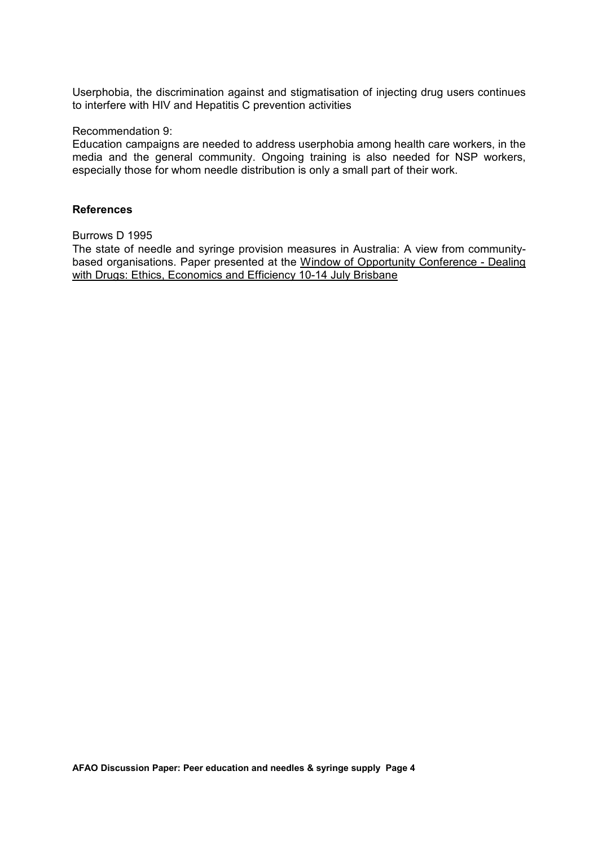Userphobia, the discrimination against and stigmatisation of injecting drug users continues to interfere with HIV and Hepatitis C prevention activities

## Recommendation 9:

Education campaigns are needed to address userphobia among health care workers, in the media and the general community. Ongoing training is also needed for NSP workers, especially those for whom needle distribution is only a small part of their work.

### **References**

# Burrows D 1995

The state of needle and syringe provision measures in Australia: A view from communitybased organisations. Paper presented at the Window of Opportunity Conference - Dealing with Drugs: Ethics, Economics and Efficiency 10-14 July Brisbane